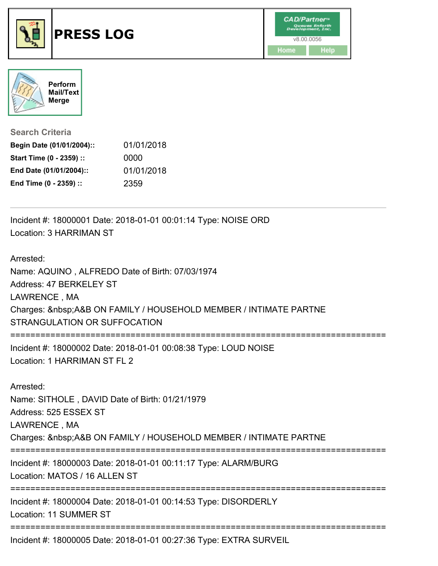



**Search Criteria**

| Begin Date (01/01/2004):: | 01/01/2018 |
|---------------------------|------------|
| Start Time (0 - 2359) ::  | 0000       |
| End Date (01/01/2004)::   | 01/01/2018 |
| End Time (0 - 2359) ::    | 2359       |

Incident #: 18000001 Date: 2018-01-01 00:01:14 Type: NOISE ORD Location: 3 HARRIMAN ST

Arrested:

Name: AQUINO , ALFREDO Date of Birth: 07/03/1974

Address: 47 BERKELEY ST

LAWRENCE , MA

Charges: A&B ON FAMILY / HOUSEHOLD MEMBER / INTIMATE PARTNE

STRANGULATION OR SUFFOCATION

===========================================================================

Incident #: 18000002 Date: 2018-01-01 00:08:38 Type: LOUD NOISE Location: 1 HARRIMAN ST FL 2

Arrested:

Name: SITHOLE , DAVID Date of Birth: 01/21/1979

Address: 525 ESSEX ST

LAWRENCE , MA

Charges: A&B ON FAMILY / HOUSEHOLD MEMBER / INTIMATE PARTNE

===========================================================================

Incident #: 18000003 Date: 2018-01-01 00:11:17 Type: ALARM/BURG

Location: MATOS / 16 ALLEN ST

===========================================================================

Incident #: 18000004 Date: 2018-01-01 00:14:53 Type: DISORDERLY Location: 11 SUMMER ST

===========================================================================

Incident #: 18000005 Date: 2018-01-01 00:27:36 Type: EXTRA SURVEIL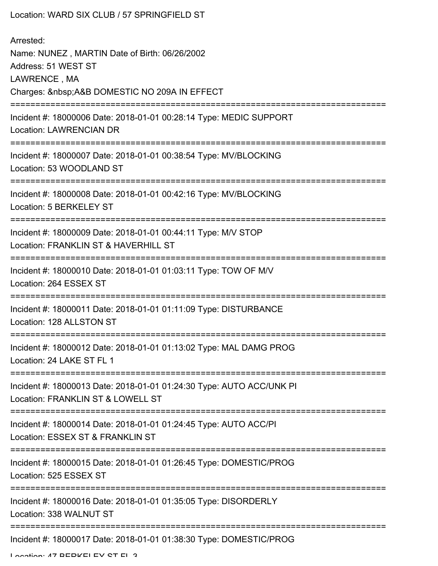| Location: WARD SIX CLUB / 57 SPRINGFIELD ST                                                                                                   |
|-----------------------------------------------------------------------------------------------------------------------------------------------|
| Arrested:<br>Name: NUNEZ, MARTIN Date of Birth: 06/26/2002<br>Address: 51 WEST ST<br>LAWRENCE, MA<br>Charges:  A&B DOMESTIC NO 209A IN EFFECT |
| Incident #: 18000006 Date: 2018-01-01 00:28:14 Type: MEDIC SUPPORT<br><b>Location: LAWRENCIAN DR</b>                                          |
| Incident #: 18000007 Date: 2018-01-01 00:38:54 Type: MV/BLOCKING<br>Location: 53 WOODLAND ST                                                  |
| Incident #: 18000008 Date: 2018-01-01 00:42:16 Type: MV/BLOCKING<br>Location: 5 BERKELEY ST                                                   |
| Incident #: 18000009 Date: 2018-01-01 00:44:11 Type: M/V STOP<br>Location: FRANKLIN ST & HAVERHILL ST                                         |
| Incident #: 18000010 Date: 2018-01-01 01:03:11 Type: TOW OF M/V<br>Location: 264 ESSEX ST                                                     |
| Incident #: 18000011 Date: 2018-01-01 01:11:09 Type: DISTURBANCE<br>Location: 128 ALLSTON ST                                                  |
| Incident #: 18000012 Date: 2018-01-01 01:13:02 Type: MAL DAMG PROG<br>Location: 24 LAKE ST FL 1                                               |
| Incident #: 18000013 Date: 2018-01-01 01:24:30 Type: AUTO ACC/UNK PI<br>Location: FRANKLIN ST & LOWELL ST                                     |
| Incident #: 18000014 Date: 2018-01-01 01:24:45 Type: AUTO ACC/PI<br>Location: ESSEX ST & FRANKLIN ST                                          |
| Incident #: 18000015 Date: 2018-01-01 01:26:45 Type: DOMESTIC/PROG<br>Location: 525 ESSEX ST                                                  |
| Incident #: 18000016 Date: 2018-01-01 01:35:05 Type: DISORDERLY<br>Location: 338 WALNUT ST                                                    |
| Incident #: 18000017 Date: 2018-01-01 01:38:30 Type: DOMESTIC/PROG                                                                            |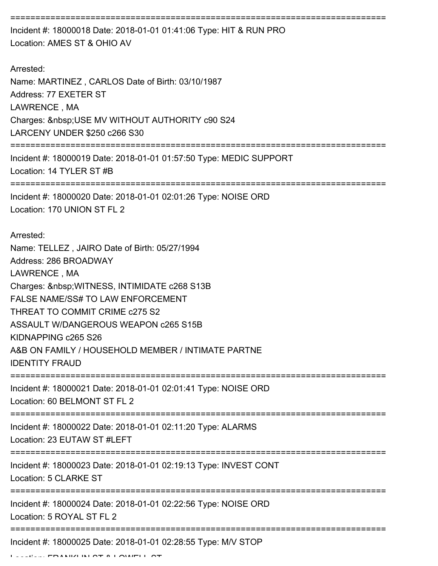=========================================================================== Incident #: 18000018 Date: 2018-01-01 01:41:06 Type: HIT & RUN PRO Location: AMES ST & OHIO AV Arrested: Name: MARTINEZ , CARLOS Date of Birth: 03/10/1987 Address: 77 EXETER ST LAWRENCE , MA Charges: USE MV WITHOUT AUTHORITY c90 S24 LARCENY UNDER \$250 c266 S30 =========================================================================== Incident #: 18000019 Date: 2018-01-01 01:57:50 Type: MEDIC SUPPORT Location: 14 TYLER ST #B =========================================================================== Incident #: 18000020 Date: 2018-01-01 02:01:26 Type: NOISE ORD Location: 170 UNION ST FL 2 Arrested: Name: TELLEZ , JAIRO Date of Birth: 05/27/1994 Address: 286 BROADWAY LAWRENCE , MA Charges: WITNESS, INTIMIDATE c268 S13B FALSE NAME/SS# TO LAW ENFORCEMENT THREAT TO COMMIT CRIME c275 S2 ASSAULT W/DANGEROUS WEAPON c265 S15B KIDNAPPING c265 S26 A&B ON FAMILY / HOUSEHOLD MEMBER / INTIMATE PARTNE IDENTITY FRAUD =========================================================================== Incident #: 18000021 Date: 2018-01-01 02:01:41 Type: NOISE ORD Location: 60 BELMONT ST FL 2 =========================================================================== Incident #: 18000022 Date: 2018-01-01 02:11:20 Type: ALARMS Location: 23 EUTAW ST #LEFT =========================================================================== Incident #: 18000023 Date: 2018-01-01 02:19:13 Type: INVEST CONT Location: 5 CLARKE ST =========================================================================== Incident #: 18000024 Date: 2018-01-01 02:22:56 Type: NOISE ORD Location: 5 ROYAL ST FL 2 =========================================================================== Incident #: 18000025 Date: 2018-01-01 02:28:55 Type: M/V STOP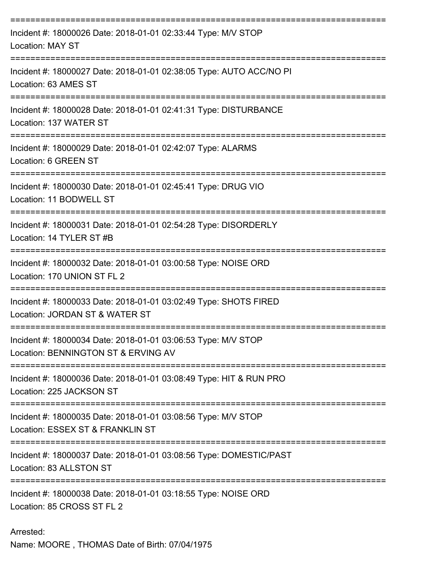| Incident #: 18000026 Date: 2018-01-01 02:33:44 Type: M/V STOP<br><b>Location: MAY ST</b>             |
|------------------------------------------------------------------------------------------------------|
| Incident #: 18000027 Date: 2018-01-01 02:38:05 Type: AUTO ACC/NO PI<br>Location: 63 AMES ST          |
| Incident #: 18000028 Date: 2018-01-01 02:41:31 Type: DISTURBANCE<br>Location: 137 WATER ST           |
| Incident #: 18000029 Date: 2018-01-01 02:42:07 Type: ALARMS<br>Location: 6 GREEN ST                  |
| Incident #: 18000030 Date: 2018-01-01 02:45:41 Type: DRUG VIO<br>Location: 11 BODWELL ST             |
| Incident #: 18000031 Date: 2018-01-01 02:54:28 Type: DISORDERLY<br>Location: 14 TYLER ST #B          |
| Incident #: 18000032 Date: 2018-01-01 03:00:58 Type: NOISE ORD<br>Location: 170 UNION ST FL 2        |
| Incident #: 18000033 Date: 2018-01-01 03:02:49 Type: SHOTS FIRED<br>Location: JORDAN ST & WATER ST   |
| Incident #: 18000034 Date: 2018-01-01 03:06:53 Type: M/V STOP<br>Location: BENNINGTON ST & ERVING AV |
| Incident #: 18000036 Date: 2018-01-01 03:08:49 Type: HIT & RUN PRO<br>Location: 225 JACKSON ST       |
| Incident #: 18000035 Date: 2018-01-01 03:08:56 Type: M/V STOP<br>Location: ESSEX ST & FRANKLIN ST    |
| Incident #: 18000037 Date: 2018-01-01 03:08:56 Type: DOMESTIC/PAST<br>Location: 83 ALLSTON ST        |
| Incident #: 18000038 Date: 2018-01-01 03:18:55 Type: NOISE ORD<br>Location: 85 CROSS ST FL 2         |

Arrested: Name: MOORE , THOMAS Date of Birth: 07/04/1975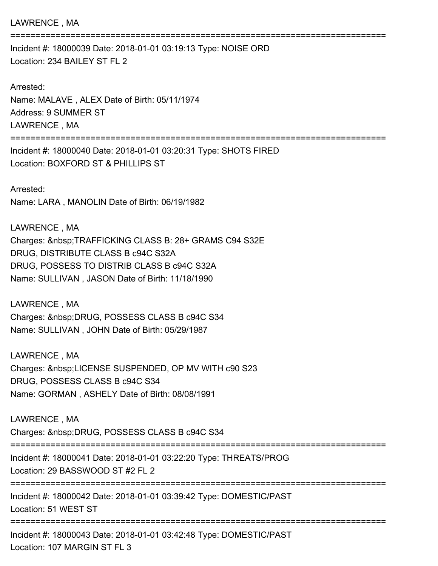## LAWRENCE , MA

Incident #: 18000039 Date: 2018-01-01 03:19:13 Type: NOISE ORD Location: 234 BAILEY ST FL 2

Arrested: Name: MALAVE , ALEX Date of Birth: 05/11/1974 Address: 9 SUMMER ST LAWRENCE , MA

===========================================================================

===========================================================================

Incident #: 18000040 Date: 2018-01-01 03:20:31 Type: SHOTS FIRED Location: BOXFORD ST & PHILLIPS ST

Arrested: Name: LARA , MANOLIN Date of Birth: 06/19/1982

LAWRENCE , MA Charges: TRAFFICKING CLASS B: 28+ GRAMS C94 S32E DRUG, DISTRIBUTE CLASS B c94C S32A DRUG, POSSESS TO DISTRIB CLASS B c94C S32A Name: SULLIVAN , JASON Date of Birth: 11/18/1990

LAWRENCE , MA Charges: DRUG, POSSESS CLASS B c94C S34 Name: SULLIVAN , JOHN Date of Birth: 05/29/1987

LAWRENCE , MA Charges: LICENSE SUSPENDED, OP MV WITH c90 S23 DRUG, POSSESS CLASS B c94C S34 Name: GORMAN , ASHELY Date of Birth: 08/08/1991

LAWRENCE , MA Charges: DRUG, POSSESS CLASS B c94C S34 =========================================================================== Incident #: 18000041 Date: 2018-01-01 03:22:20 Type: THREATS/PROG Location: 29 BASSWOOD ST #2 FL 2 =========================================================================== Incident #: 18000042 Date: 2018-01-01 03:39:42 Type: DOMESTIC/PAST Location: 51 WEST ST =========================================================================== Incident #: 18000043 Date: 2018-01-01 03:42:48 Type: DOMESTIC/PAST Location: 107 MARGIN ST FL 3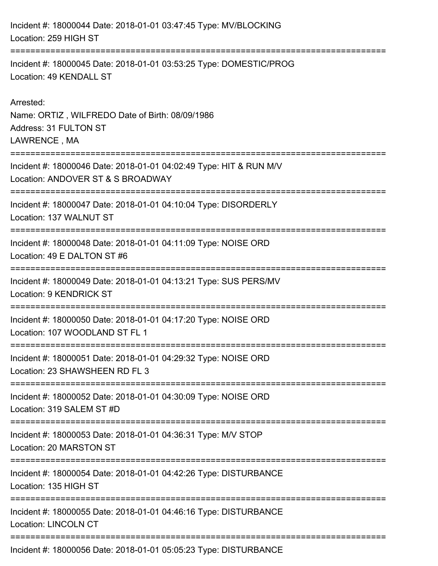Incident #: 18000044 Date: 2018-01-01 03:47:45 Type: MV/BLOCKING Location: 259 HIGH ST =========================================================================== Incident #: 18000045 Date: 2018-01-01 03:53:25 Type: DOMESTIC/PROG Location: 49 KENDALL ST Arrested: Name: ORTIZ , WILFREDO Date of Birth: 08/09/1986 Address: 31 FULTON ST LAWRENCE , MA =========================================================================== Incident #: 18000046 Date: 2018-01-01 04:02:49 Type: HIT & RUN M/V Location: ANDOVER ST & S BROADWAY =========================================================================== Incident #: 18000047 Date: 2018-01-01 04:10:04 Type: DISORDERLY Location: 137 WALNUT ST =========================================================================== Incident #: 18000048 Date: 2018-01-01 04:11:09 Type: NOISE ORD Location: 49 E DALTON ST #6 =========================================================================== Incident #: 18000049 Date: 2018-01-01 04:13:21 Type: SUS PERS/MV Location: 9 KENDRICK ST =========================================================================== Incident #: 18000050 Date: 2018-01-01 04:17:20 Type: NOISE ORD Location: 107 WOODLAND ST FL 1 =========================================================================== Incident #: 18000051 Date: 2018-01-01 04:29:32 Type: NOISE ORD Location: 23 SHAWSHEEN RD FL 3 =========================================================================== Incident #: 18000052 Date: 2018-01-01 04:30:09 Type: NOISE ORD Location: 319 SALEM ST #D =========================================================================== Incident #: 18000053 Date: 2018-01-01 04:36:31 Type: M/V STOP Location: 20 MARSTON ST =========================================================================== Incident #: 18000054 Date: 2018-01-01 04:42:26 Type: DISTURBANCE Location: 135 HIGH ST =========================================================================== Incident #: 18000055 Date: 2018-01-01 04:46:16 Type: DISTURBANCE Location: LINCOLN CT ===========================================================================

Incident #: 18000056 Date: 2018-01-01 05:05:23 Type: DISTURBANCE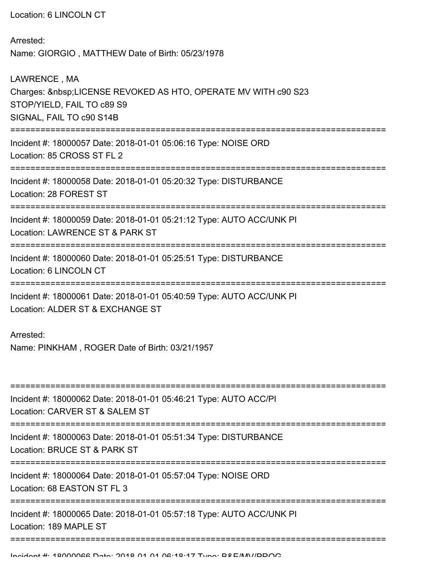Location: 6 LINCOLN CT

Arrested: Name: GIORGIO , MATTHEW Date of Birth: 05/23/1978

LAWRENCE , MA Charges: LICENSE REVOKED AS HTO, OPERATE MV WITH c90 S23 STOP/YIELD, FAIL TO c89 S9 SIGNAL, FAIL TO c90 S14B =========================================================================== Incident #: 18000057 Date: 2018-01-01 05:06:16 Type: NOISE ORD Location: 85 CROSS ST FL 2 =========================================================================== Incident #: 18000058 Date: 2018-01-01 05:20:32 Type: DISTURBANCE Location: 28 FOREST ST =========================================================================== Incident #: 18000059 Date: 2018-01-01 05:21:12 Type: AUTO ACC/UNK PI Location: LAWRENCE ST & PARK ST =========================================================================== Incident #: 18000060 Date: 2018-01-01 05:25:51 Type: DISTURBANCE Location: 6 LINCOLN CT =========================================================================== Incident #: 18000061 Date: 2018-01-01 05:40:59 Type: AUTO ACC/UNK PI Location: ALDER ST & EXCHANGE ST Arrested: Name: PINKHAM , ROGER Date of Birth: 03/21/1957 =========================================================================== Incident #: 18000062 Date: 2018-01-01 05:46:21 Type: AUTO ACC/PI Location: CARVER ST & SALEM ST =========================================================================== Incident #: 18000063 Date: 2018-01-01 05:51:34 Type: DISTURBANCE Location: BRUCE ST & PARK ST =========================================================================== Incident #: 18000064 Date: 2018-01-01 05:57:04 Type: NOISE ORD Location: 68 EASTON ST FL 3 =========================================================================== Incident #: 18000065 Date: 2018-01-01 05:57:18 Type: AUTO ACC/UNK PI Location: 189 MAPLE ST ===========================================================================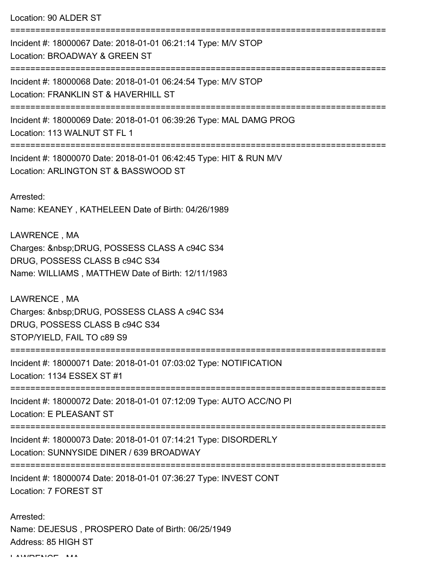Location: 90 ALDER ST

=========================================================================== Incident #: 18000067 Date: 2018-01-01 06:21:14 Type: M/V STOP Location: BROADWAY & GREEN ST =========================================================================== Incident #: 18000068 Date: 2018-01-01 06:24:54 Type: M/V STOP Location: FRANKLIN ST & HAVERHILL ST =========================================================================== Incident #: 18000069 Date: 2018-01-01 06:39:26 Type: MAL DAMG PROG Location: 113 WALNUT ST FL 1 =========================================================================== Incident #: 18000070 Date: 2018-01-01 06:42:45 Type: HIT & RUN M/V Location: ARLINGTON ST & BASSWOOD ST Arrested: Name: KEANEY , KATHELEEN Date of Birth: 04/26/1989 LAWRENCE , MA Charges: DRUG, POSSESS CLASS A c94C S34 DRUG, POSSESS CLASS B c94C S34 Name: WILLIAMS , MATTHEW Date of Birth: 12/11/1983 LAWRENCE , MA Charges: DRUG, POSSESS CLASS A c94C S34 DRUG, POSSESS CLASS B c94C S34 STOP/YIELD, FAIL TO c89 S9 =========================================================================== Incident #: 18000071 Date: 2018-01-01 07:03:02 Type: NOTIFICATION Location: 1134 ESSEX ST #1 =========================================================================== Incident #: 18000072 Date: 2018-01-01 07:12:09 Type: AUTO ACC/NO PI Location: E PLEASANT ST =========================================================================== Incident #: 18000073 Date: 2018-01-01 07:14:21 Type: DISORDERLY Location: SUNNYSIDE DINER / 639 BROADWAY =========================================================================== Incident #: 18000074 Date: 2018-01-01 07:36:27 Type: INVEST CONT Location: 7 FOREST ST Arrested:

Name: DEJESUS , PROSPERO Date of Birth: 06/25/1949 Address: 85 HIGH ST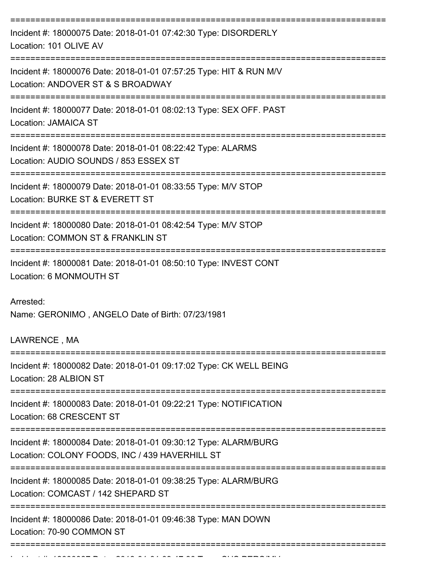| Incident #: 18000075 Date: 2018-01-01 07:42:30 Type: DISORDERLY<br>Location: 101 OLIVE AV                         |
|-------------------------------------------------------------------------------------------------------------------|
| Incident #: 18000076 Date: 2018-01-01 07:57:25 Type: HIT & RUN M/V<br>Location: ANDOVER ST & S BROADWAY           |
| Incident #: 18000077 Date: 2018-01-01 08:02:13 Type: SEX OFF. PAST<br>Location: JAMAICA ST                        |
| Incident #: 18000078 Date: 2018-01-01 08:22:42 Type: ALARMS<br>Location: AUDIO SOUNDS / 853 ESSEX ST              |
| Incident #: 18000079 Date: 2018-01-01 08:33:55 Type: M/V STOP<br>Location: BURKE ST & EVERETT ST                  |
| Incident #: 18000080 Date: 2018-01-01 08:42:54 Type: M/V STOP<br>Location: COMMON ST & FRANKLIN ST                |
| Incident #: 18000081 Date: 2018-01-01 08:50:10 Type: INVEST CONT<br>Location: 6 MONMOUTH ST                       |
| Arrested:<br>Name: GERONIMO, ANGELO Date of Birth: 07/23/1981<br>LAWRENCE, MA                                     |
| Incident #: 18000082 Date: 2018-01-01 09:17:02 Type: CK WELL BEING<br>Location: 28 ALBION ST                      |
| Incident #: 18000083 Date: 2018-01-01 09:22:21 Type: NOTIFICATION<br>Location: 68 CRESCENT ST                     |
| Incident #: 18000084 Date: 2018-01-01 09:30:12 Type: ALARM/BURG<br>Location: COLONY FOODS, INC / 439 HAVERHILL ST |
| Incident #: 18000085 Date: 2018-01-01 09:38:25 Type: ALARM/BURG<br>Location: COMCAST / 142 SHEPARD ST             |
| Incident #: 18000086 Date: 2018-01-01 09:46:38 Type: MAN DOWN<br>Location: 70-90 COMMON ST                        |
|                                                                                                                   |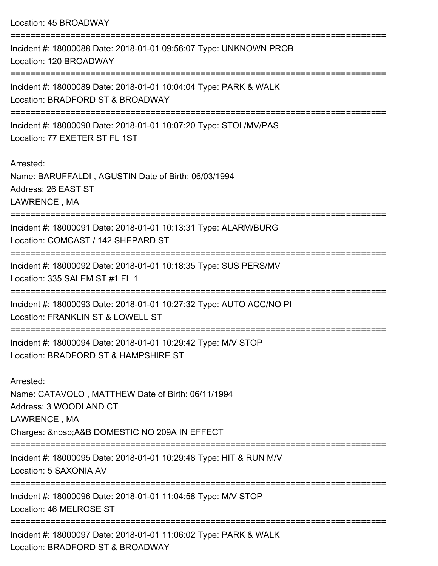| Location: 45 BROADWAY                                                                                                                                |
|------------------------------------------------------------------------------------------------------------------------------------------------------|
| Incident #: 18000088 Date: 2018-01-01 09:56:07 Type: UNKNOWN PROB<br>Location: 120 BROADWAY                                                          |
| Incident #: 18000089 Date: 2018-01-01 10:04:04 Type: PARK & WALK<br>Location: BRADFORD ST & BROADWAY                                                 |
| Incident #: 18000090 Date: 2018-01-01 10:07:20 Type: STOL/MV/PAS<br>Location: 77 EXETER ST FL 1ST                                                    |
| Arrested:<br>Name: BARUFFALDI, AGUSTIN Date of Birth: 06/03/1994<br>Address: 26 EAST ST<br>LAWRENCE, MA                                              |
| ===========================<br>Incident #: 18000091 Date: 2018-01-01 10:13:31 Type: ALARM/BURG<br>Location: COMCAST / 142 SHEPARD ST                 |
| Incident #: 18000092 Date: 2018-01-01 10:18:35 Type: SUS PERS/MV<br>Location: 335 SALEM ST #1 FL 1                                                   |
| Incident #: 18000093 Date: 2018-01-01 10:27:32 Type: AUTO ACC/NO PI<br>Location: FRANKLIN ST & LOWELL ST                                             |
| Incident #: 18000094 Date: 2018-01-01 10:29:42 Type: M/V STOP<br>Location: BRADFORD ST & HAMPSHIRE ST                                                |
| Arrested:<br>Name: CATAVOLO, MATTHEW Date of Birth: 06/11/1994<br>Address: 3 WOODLAND CT<br>LAWRENCE, MA<br>Charges:  A&B DOMESTIC NO 209A IN EFFECT |
| Incident #: 18000095 Date: 2018-01-01 10:29:48 Type: HIT & RUN M/V<br>Location: 5 SAXONIA AV                                                         |
| Incident #: 18000096 Date: 2018-01-01 11:04:58 Type: M/V STOP<br>Location: 46 MELROSE ST<br>----------------------                                   |
| -----------------------<br>Incident #: 18000097 Date: 2018-01-01 11:06:02 Type: PARK & WALK                                                          |

Location: BRADFORD ST & BROADWAY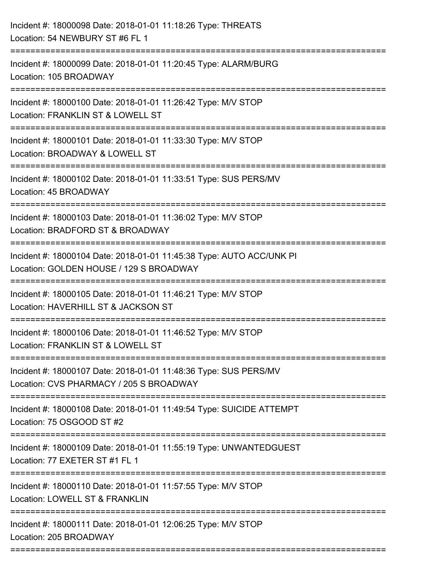| Incident #: 18000098 Date: 2018-01-01 11:18:26 Type: THREATS<br>Location: 54 NEWBURY ST #6 FL 1                 |
|-----------------------------------------------------------------------------------------------------------------|
| Incident #: 18000099 Date: 2018-01-01 11:20:45 Type: ALARM/BURG<br>Location: 105 BROADWAY                       |
| Incident #: 18000100 Date: 2018-01-01 11:26:42 Type: M/V STOP<br>Location: FRANKLIN ST & LOWELL ST              |
| Incident #: 18000101 Date: 2018-01-01 11:33:30 Type: M/V STOP<br>Location: BROADWAY & LOWELL ST                 |
| Incident #: 18000102 Date: 2018-01-01 11:33:51 Type: SUS PERS/MV<br>Location: 45 BROADWAY                       |
| Incident #: 18000103 Date: 2018-01-01 11:36:02 Type: M/V STOP<br>Location: BRADFORD ST & BROADWAY               |
| Incident #: 18000104 Date: 2018-01-01 11:45:38 Type: AUTO ACC/UNK PI<br>Location: GOLDEN HOUSE / 129 S BROADWAY |
| Incident #: 18000105 Date: 2018-01-01 11:46:21 Type: M/V STOP<br>Location: HAVERHILL ST & JACKSON ST            |
| Incident #: 18000106 Date: 2018-01-01 11:46:52 Type: M/V STOP<br>Location: FRANKLIN ST & LOWELL ST              |
| Incident #: 18000107 Date: 2018-01-01 11:48:36 Type: SUS PERS/MV<br>Location: CVS PHARMACY / 205 S BROADWAY     |
| Incident #: 18000108 Date: 2018-01-01 11:49:54 Type: SUICIDE ATTEMPT<br>Location: 75 OSGOOD ST #2               |
| Incident #: 18000109 Date: 2018-01-01 11:55:19 Type: UNWANTEDGUEST<br>Location: 77 EXETER ST #1 FL 1            |
| Incident #: 18000110 Date: 2018-01-01 11:57:55 Type: M/V STOP<br>Location: LOWELL ST & FRANKLIN                 |
| Incident #: 18000111 Date: 2018-01-01 12:06:25 Type: M/V STOP<br>Location: 205 BROADWAY                         |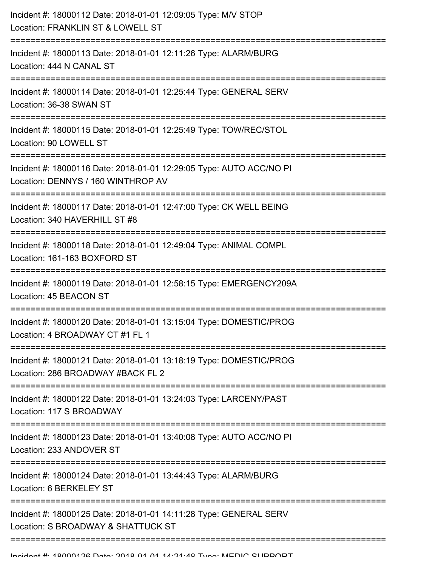| Incident #: 18000112 Date: 2018-01-01 12:09:05 Type: M/V STOP<br>Location: FRANKLIN ST & LOWELL ST        |
|-----------------------------------------------------------------------------------------------------------|
| Incident #: 18000113 Date: 2018-01-01 12:11:26 Type: ALARM/BURG<br>Location: 444 N CANAL ST               |
| Incident #: 18000114 Date: 2018-01-01 12:25:44 Type: GENERAL SERV<br>Location: 36-38 SWAN ST              |
| Incident #: 18000115 Date: 2018-01-01 12:25:49 Type: TOW/REC/STOL<br>Location: 90 LOWELL ST               |
| Incident #: 18000116 Date: 2018-01-01 12:29:05 Type: AUTO ACC/NO PI<br>Location: DENNYS / 160 WINTHROP AV |
| Incident #: 18000117 Date: 2018-01-01 12:47:00 Type: CK WELL BEING<br>Location: 340 HAVERHILL ST #8       |
| Incident #: 18000118 Date: 2018-01-01 12:49:04 Type: ANIMAL COMPL<br>Location: 161-163 BOXFORD ST         |
| Incident #: 18000119 Date: 2018-01-01 12:58:15 Type: EMERGENCY209A<br>Location: 45 BEACON ST              |
| Incident #: 18000120 Date: 2018-01-01 13:15:04 Type: DOMESTIC/PROG<br>Location: 4 BROADWAY CT #1 FL 1     |
| Incident #: 18000121 Date: 2018-01-01 13:18:19 Type: DOMESTIC/PROG<br>Location: 286 BROADWAY #BACK FL 2   |
| Incident #: 18000122 Date: 2018-01-01 13:24:03 Type: LARCENY/PAST<br>Location: 117 S BROADWAY             |
| Incident #: 18000123 Date: 2018-01-01 13:40:08 Type: AUTO ACC/NO PI<br>Location: 233 ANDOVER ST           |
| Incident #: 18000124 Date: 2018-01-01 13:44:43 Type: ALARM/BURG<br>Location: 6 BERKELEY ST                |
| Incident #: 18000125 Date: 2018-01-01 14:11:28 Type: GENERAL SERV<br>Location: S BROADWAY & SHATTUCK ST   |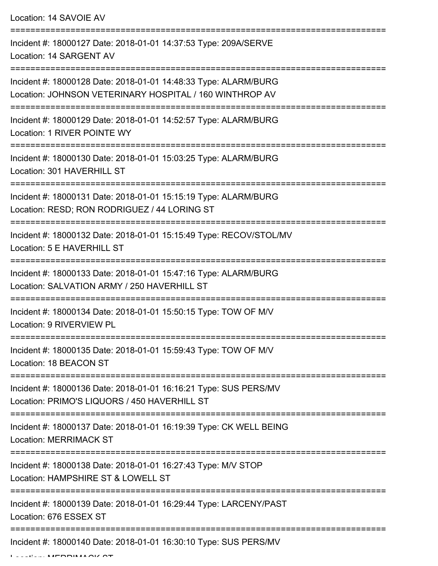Location: 14 SAVOIE AV

| Incident #: 18000127 Date: 2018-01-01 14:37:53 Type: 209A/SERVE<br>Location: 14 SARGENT AV                                 |
|----------------------------------------------------------------------------------------------------------------------------|
| Incident #: 18000128 Date: 2018-01-01 14:48:33 Type: ALARM/BURG<br>Location: JOHNSON VETERINARY HOSPITAL / 160 WINTHROP AV |
| Incident #: 18000129 Date: 2018-01-01 14:52:57 Type: ALARM/BURG<br>Location: 1 RIVER POINTE WY                             |
| Incident #: 18000130 Date: 2018-01-01 15:03:25 Type: ALARM/BURG<br>Location: 301 HAVERHILL ST                              |
| Incident #: 18000131 Date: 2018-01-01 15:15:19 Type: ALARM/BURG<br>Location: RESD; RON RODRIGUEZ / 44 LORING ST            |
| Incident #: 18000132 Date: 2018-01-01 15:15:49 Type: RECOV/STOL/MV<br>Location: 5 E HAVERHILL ST                           |
| Incident #: 18000133 Date: 2018-01-01 15:47:16 Type: ALARM/BURG<br>Location: SALVATION ARMY / 250 HAVERHILL ST             |
| Incident #: 18000134 Date: 2018-01-01 15:50:15 Type: TOW OF M/V<br>Location: 9 RIVERVIEW PL                                |
| Incident #: 18000135 Date: 2018-01-01 15:59:43 Type: TOW OF M/V<br>Location: 18 BEACON ST                                  |
| Incident #: 18000136 Date: 2018-01-01 16:16:21 Type: SUS PERS/MV<br>Location: PRIMO'S LIQUORS / 450 HAVERHILL ST           |
| Incident #: 18000137 Date: 2018-01-01 16:19:39 Type: CK WELL BEING<br><b>Location: MERRIMACK ST</b>                        |
| Incident #: 18000138 Date: 2018-01-01 16:27:43 Type: M/V STOP<br>Location: HAMPSHIRE ST & LOWELL ST                        |
| Incident #: 18000139 Date: 2018-01-01 16:29:44 Type: LARCENY/PAST<br>Location: 676 ESSEX ST                                |
| Incident #: 18000140 Date: 2018-01-01 16:30:10 Type: SUS PERS/MV                                                           |

Location: MERRIMACK ST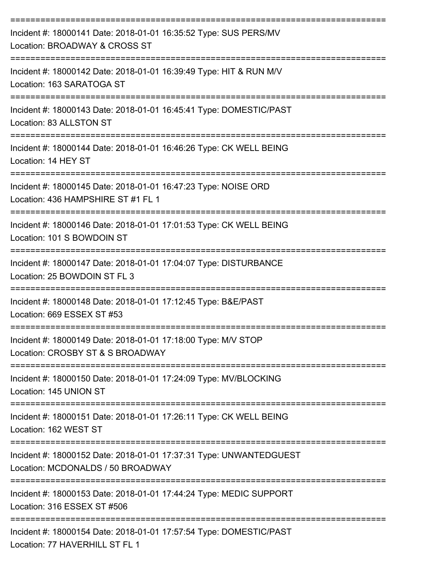| Incident #: 18000141 Date: 2018-01-01 16:35:52 Type: SUS PERS/MV<br>Location: BROADWAY & CROSS ST       |
|---------------------------------------------------------------------------------------------------------|
| Incident #: 18000142 Date: 2018-01-01 16:39:49 Type: HIT & RUN M/V<br>Location: 163 SARATOGA ST         |
| Incident #: 18000143 Date: 2018-01-01 16:45:41 Type: DOMESTIC/PAST<br>Location: 83 ALLSTON ST           |
| Incident #: 18000144 Date: 2018-01-01 16:46:26 Type: CK WELL BEING<br>Location: 14 HEY ST               |
| Incident #: 18000145 Date: 2018-01-01 16:47:23 Type: NOISE ORD<br>Location: 436 HAMPSHIRE ST #1 FL 1    |
| Incident #: 18000146 Date: 2018-01-01 17:01:53 Type: CK WELL BEING<br>Location: 101 S BOWDOIN ST        |
| Incident #: 18000147 Date: 2018-01-01 17:04:07 Type: DISTURBANCE<br>Location: 25 BOWDOIN ST FL 3        |
| Incident #: 18000148 Date: 2018-01-01 17:12:45 Type: B&E/PAST<br>Location: 669 ESSEX ST #53             |
| Incident #: 18000149 Date: 2018-01-01 17:18:00 Type: M/V STOP<br>Location: CROSBY ST & S BROADWAY       |
| Incident #: 18000150 Date: 2018-01-01 17:24:09 Type: MV/BLOCKING<br>Location: 145 UNION ST              |
| Incident #: 18000151 Date: 2018-01-01 17:26:11 Type: CK WELL BEING<br>Location: 162 WEST ST             |
| Incident #: 18000152 Date: 2018-01-01 17:37:31 Type: UNWANTEDGUEST<br>Location: MCDONALDS / 50 BROADWAY |
| Incident #: 18000153 Date: 2018-01-01 17:44:24 Type: MEDIC SUPPORT<br>Location: 316 ESSEX ST #506       |
| Incident #: 18000154 Date: 2018-01-01 17:57:54 Type: DOMESTIC/PAST<br>Location: 77 HAVERHILL ST FL 1    |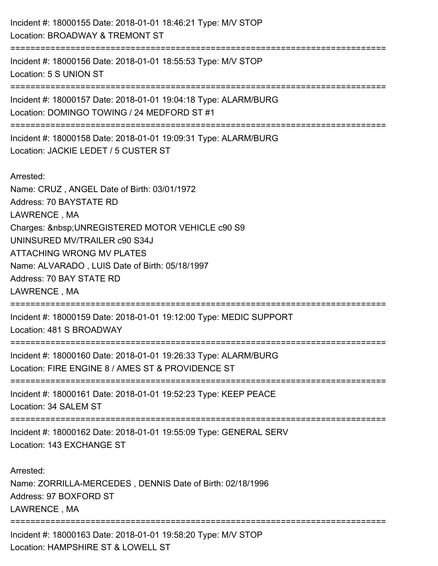| Incident #: 18000155 Date: 2018-01-01 18:46:21 Type: M/V STOP<br>Location: BROADWAY & TREMONT ST                                                                                                                                                                                                                       |
|------------------------------------------------------------------------------------------------------------------------------------------------------------------------------------------------------------------------------------------------------------------------------------------------------------------------|
| ============================<br>Incident #: 18000156 Date: 2018-01-01 18:55:53 Type: M/V STOP<br>Location: 5 S UNION ST                                                                                                                                                                                                |
| Incident #: 18000157 Date: 2018-01-01 19:04:18 Type: ALARM/BURG<br>Location: DOMINGO TOWING / 24 MEDFORD ST #1                                                                                                                                                                                                         |
| Incident #: 18000158 Date: 2018-01-01 19:09:31 Type: ALARM/BURG<br>Location: JACKIE LEDET / 5 CUSTER ST                                                                                                                                                                                                                |
| Arrested:<br>Name: CRUZ, ANGEL Date of Birth: 03/01/1972<br>Address: 70 BAYSTATE RD<br>LAWRENCE, MA<br>Charges:   UNREGISTERED MOTOR VEHICLE c90 S9<br>UNINSURED MV/TRAILER c90 S34J<br><b>ATTACHING WRONG MV PLATES</b><br>Name: ALVARADO, LUIS Date of Birth: 05/18/1997<br>Address: 70 BAY STATE RD<br>LAWRENCE, MA |
| Incident #: 18000159 Date: 2018-01-01 19:12:00 Type: MEDIC SUPPORT<br>Location: 481 S BROADWAY                                                                                                                                                                                                                         |
| Incident #: 18000160 Date: 2018-01-01 19:26:33 Type: ALARM/BURG<br>Location: FIRE ENGINE 8 / AMES ST & PROVIDENCE ST                                                                                                                                                                                                   |
| Incident #: 18000161 Date: 2018-01-01 19:52:23 Type: KEEP PEACE<br>Location: 34 SALEM ST                                                                                                                                                                                                                               |
| Incident #: 18000162 Date: 2018-01-01 19:55:09 Type: GENERAL SERV<br>Location: 143 EXCHANGE ST                                                                                                                                                                                                                         |
| Arrested:<br>Name: ZORRILLA-MERCEDES, DENNIS Date of Birth: 02/18/1996<br>Address: 97 BOXFORD ST<br>LAWRENCE, MA                                                                                                                                                                                                       |
| Incident #: 18000163 Date: 2018-01-01 19:58:20 Type: M/V STOP<br>Location: HAMPSHIRE ST & LOWELL ST                                                                                                                                                                                                                    |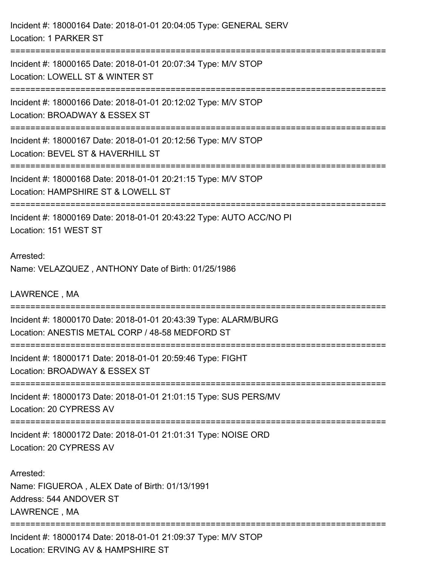Incident #: 18000164 Date: 2018-01-01 20:04:05 Type: GENERAL SERV Location: 1 PARKER ST =========================================================================== Incident #: 18000165 Date: 2018-01-01 20:07:34 Type: M/V STOP Location: LOWELL ST & WINTER ST =========================================================================== Incident #: 18000166 Date: 2018-01-01 20:12:02 Type: M/V STOP Location: BROADWAY & ESSEX ST =========================================================================== Incident #: 18000167 Date: 2018-01-01 20:12:56 Type: M/V STOP Location: BEVEL ST & HAVERHILL ST =========================================================================== Incident #: 18000168 Date: 2018-01-01 20:21:15 Type: M/V STOP Location: HAMPSHIRE ST & LOWELL ST =========================================================================== Incident #: 18000169 Date: 2018-01-01 20:43:22 Type: AUTO ACC/NO PI Location: 151 WEST ST Arrested: Name: VELAZQUEZ , ANTHONY Date of Birth: 01/25/1986 LAWRENCE , MA =========================================================================== Incident #: 18000170 Date: 2018-01-01 20:43:39 Type: ALARM/BURG Location: ANESTIS METAL CORP / 48-58 MEDFORD ST =========================================================================== Incident #: 18000171 Date: 2018-01-01 20:59:46 Type: FIGHT Location: BROADWAY & ESSEX ST =========================================================================== Incident #: 18000173 Date: 2018-01-01 21:01:15 Type: SUS PERS/MV Location: 20 CYPRESS AV =========================================================================== Incident #: 18000172 Date: 2018-01-01 21:01:31 Type: NOISE ORD Location: 20 CYPRESS AV Arrested: Name: FIGUEROA , ALEX Date of Birth: 01/13/1991 Address: 544 ANDOVER ST LAWRENCE , MA =========================================================================== Incident #: 18000174 Date: 2018-01-01 21:09:37 Type: M/V STOP

Location: ERVING AV & HAMPSHIRE ST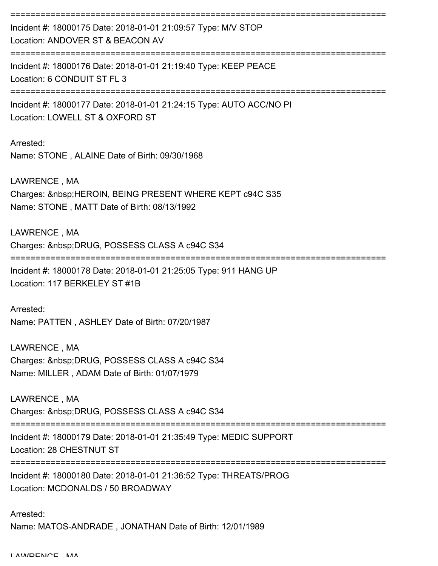=========================================================================== Incident #: 18000175 Date: 2018-01-01 21:09:57 Type: M/V STOP Location: ANDOVER ST & BEACON AV =========================================================================== Incident #: 18000176 Date: 2018-01-01 21:19:40 Type: KEEP PEACE Location: 6 CONDUIT ST FL 3 ===========================================================================

Incident #: 18000177 Date: 2018-01-01 21:24:15 Type: AUTO ACC/NO PI Location: LOWELL ST & OXFORD ST

Arrested: Name: STONE , ALAINE Date of Birth: 09/30/1968

LAWRENCE , MA Charges: HEROIN, BEING PRESENT WHERE KEPT c94C S35 Name: STONE , MATT Date of Birth: 08/13/1992

LAWRENCE , MA Charges: DRUG, POSSESS CLASS A c94C S34 ===========================================================================

Incident #: 18000178 Date: 2018-01-01 21:25:05 Type: 911 HANG UP Location: 117 BERKELEY ST #1B

Arrested: Name: PATTEN , ASHLEY Date of Birth: 07/20/1987

LAWRENCE , MA Charges: DRUG, POSSESS CLASS A c94C S34 Name: MILLER , ADAM Date of Birth: 01/07/1979

LAWRENCE , MA Charges: DRUG, POSSESS CLASS A c94C S34

===========================================================================

Incident #: 18000179 Date: 2018-01-01 21:35:49 Type: MEDIC SUPPORT

Location: 28 CHESTNUT ST

===========================================================================

Incident #: 18000180 Date: 2018-01-01 21:36:52 Type: THREATS/PROG Location: MCDONALDS / 50 BROADWAY

Arrested: Name: MATOS-ANDRADE , JONATHAN Date of Birth: 12/01/1989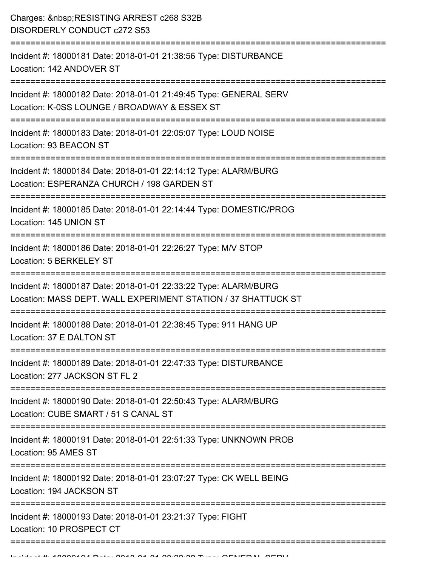| Charges:  RESISTING ARREST c268 S32B<br><b>DISORDERLY CONDUCT c272 S53</b>                                                                |
|-------------------------------------------------------------------------------------------------------------------------------------------|
| Incident #: 18000181 Date: 2018-01-01 21:38:56 Type: DISTURBANCE<br>Location: 142 ANDOVER ST                                              |
| Incident #: 18000182 Date: 2018-01-01 21:49:45 Type: GENERAL SERV<br>Location: K-0SS LOUNGE / BROADWAY & ESSEX ST                         |
| Incident #: 18000183 Date: 2018-01-01 22:05:07 Type: LOUD NOISE<br>Location: 93 BEACON ST                                                 |
| Incident #: 18000184 Date: 2018-01-01 22:14:12 Type: ALARM/BURG<br>Location: ESPERANZA CHURCH / 198 GARDEN ST<br>.----------------------- |
| Incident #: 18000185 Date: 2018-01-01 22:14:44 Type: DOMESTIC/PROG<br>Location: 145 UNION ST                                              |
| Incident #: 18000186 Date: 2018-01-01 22:26:27 Type: M/V STOP<br>Location: 5 BERKELEY ST                                                  |
| Incident #: 18000187 Date: 2018-01-01 22:33:22 Type: ALARM/BURG<br>Location: MASS DEPT. WALL EXPERIMENT STATION / 37 SHATTUCK ST          |
| Incident #: 18000188 Date: 2018-01-01 22:38:45 Type: 911 HANG UP<br>Location: 37 E DALTON ST                                              |
| Incident #: 18000189 Date: 2018-01-01 22:47:33 Type: DISTURBANCE<br>Location: 277 JACKSON ST FL 2                                         |
| Incident #: 18000190 Date: 2018-01-01 22:50:43 Type: ALARM/BURG<br>Location: CUBE SMART / 51 S CANAL ST                                   |
| Incident #: 18000191 Date: 2018-01-01 22:51:33 Type: UNKNOWN PROB<br>Location: 95 AMES ST                                                 |
| ================================<br>Incident #: 18000192 Date: 2018-01-01 23:07:27 Type: CK WELL BEING<br>Location: 194 JACKSON ST        |
| Incident #: 18000193 Date: 2018-01-01 23:21:37 Type: FIGHT<br>Location: 10 PROSPECT CT                                                    |